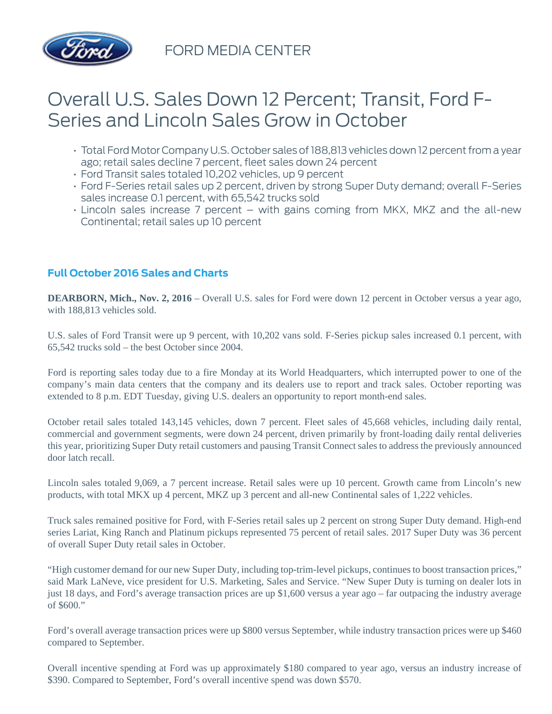

FORD MEDIA CENTER

## Overall U.S. Sales Down 12 Percent; Transit, Ford F-Series and Lincoln Sales Grow in October

- Total Ford Motor Company U.S. October sales of 188,813 vehicles down 12 percent from a year ago; retail sales decline 7 percent, fleet sales down 24 percent
- Ford Transit sales totaled 10,202 vehicles, up 9 percent
- Ford F-Series retail sales up 2 percent, driven by strong Super Duty demand; overall F-Series sales increase 0.1 percent, with 65,542 trucks sold
- Lincoln sales increase 7 percent with gains coming from MKX, MKZ and the all-new Continental; retail sales up 10 percent

## **Full October 2016 Sales and Charts**

**DEARBORN, Mich., Nov. 2, 2016** – Overall U.S. sales for Ford were down 12 percent in October versus a year ago, with 188,813 vehicles sold.

U.S. sales of Ford Transit were up 9 percent, with 10,202 vans sold. F-Series pickup sales increased 0.1 percent, with 65,542 trucks sold – the best October since 2004.

Ford is reporting sales today due to a fire Monday at its World Headquarters, which interrupted power to one of the company's main data centers that the company and its dealers use to report and track sales. October reporting was extended to 8 p.m. EDT Tuesday, giving U.S. dealers an opportunity to report month-end sales.

October retail sales totaled 143,145 vehicles, down 7 percent. Fleet sales of 45,668 vehicles, including daily rental, commercial and government segments, were down 24 percent, driven primarily by front-loading daily rental deliveries this year, prioritizing Super Duty retail customers and pausing Transit Connect sales to address the previously announced door latch recall.

Lincoln sales totaled 9,069, a 7 percent increase. Retail sales were up 10 percent. Growth came from Lincoln's new products, with total MKX up 4 percent, MKZ up 3 percent and all-new Continental sales of 1,222 vehicles.

Truck sales remained positive for Ford, with F-Series retail sales up 2 percent on strong Super Duty demand. High-end series Lariat, King Ranch and Platinum pickups represented 75 percent of retail sales. 2017 Super Duty was 36 percent of overall Super Duty retail sales in October.

"High customer demand for our new Super Duty, including top-trim-level pickups, continues to boost transaction prices," said Mark LaNeve, vice president for U.S. Marketing, Sales and Service. "New Super Duty is turning on dealer lots in just 18 days, and Ford's average transaction prices are up \$1,600 versus a year ago – far outpacing the industry average of \$600."

Ford's overall average transaction prices were up \$800 versus September, while industry transaction prices were up \$460 compared to September.

Overall incentive spending at Ford was up approximately \$180 compared to year ago, versus an industry increase of \$390. Compared to September, Ford's overall incentive spend was down \$570.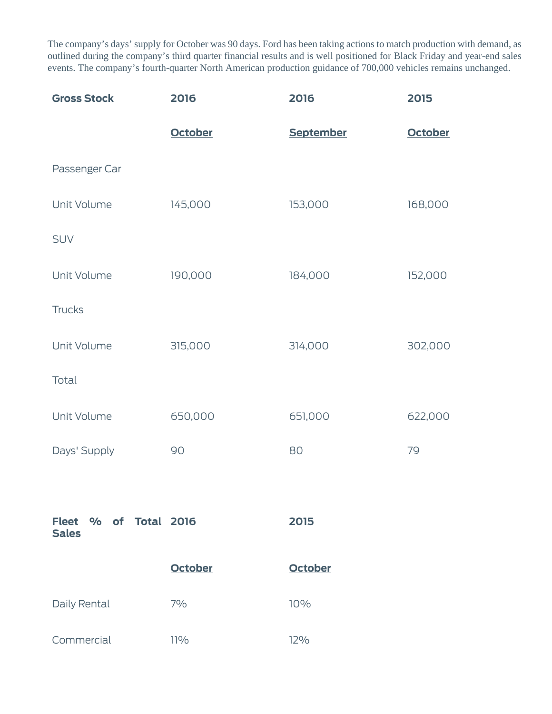The company's days' supply for October was 90 days. Ford has been taking actions to match production with demand, as outlined during the company's third quarter financial results and is well positioned for Black Friday and year-end sales events. The company's fourth-quarter North American production guidance of 700,000 vehicles remains unchanged.

| <b>Gross Stock</b>                              | 2016           | 2016             | 2015           |
|-------------------------------------------------|----------------|------------------|----------------|
|                                                 | <b>October</b> | <b>September</b> | <b>October</b> |
| Passenger Car                                   |                |                  |                |
| Unit Volume                                     | 145,000        | 153,000          | 168,000        |
| <b>SUV</b>                                      |                |                  |                |
| Unit Volume                                     | 190,000        | 184,000          | 152,000        |
| Trucks                                          |                |                  |                |
| Unit Volume                                     | 315,000        | 314,000          | 302,000        |
| Total                                           |                |                  |                |
| Unit Volume                                     | 650,000        | 651,000          | 622,000        |
| Days' Supply                                    | 90             | 80               | 79             |
|                                                 |                |                  |                |
| % of Total 2016<br><b>Fleet</b><br><b>Sales</b> |                | 2015             |                |
|                                                 | <b>October</b> | <b>October</b>   |                |
| Daily Rental                                    | 7%             | 10%              |                |
| Commercial                                      | 11%            | 12%              |                |